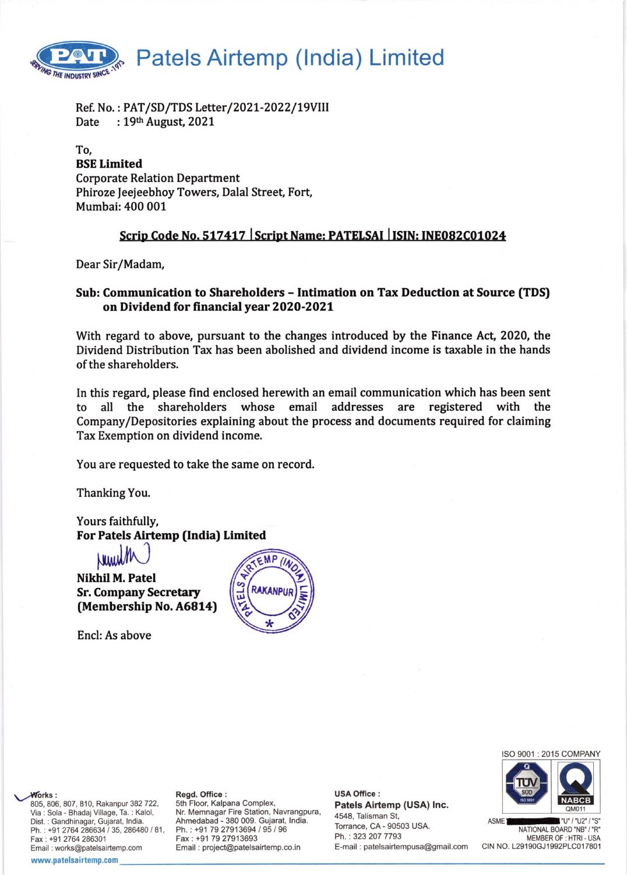

Ref. No.: PAT/SD/TDS Letter/2021-2022/19VIII Date : 19th August, 2021

# To, BSE Limited Corporate Relation Department Phiroze Jeejeebhoy Towers, Dalal Street, Fort, Mumbai:400 001

# Scrip Code No. 517417 | Script Name: PATELSAI | ISIN: INE082C01024

Dear Sir/Madam,

# Sub: Communication to Shareholders - Intimation on Tax Deduction at Source (TDS) on Dividend for financialyear 2O2O-2O21

With regard to above, pursuant to the changes introduced by the Finance Act, 2020, the Dividend Distribution Tax has been abolished and dividend income is taxable in the hands of the shareholders.

In this regard, please find enclosed herewith an email communication which has been sent to all the shareholders whose email addresses are registered with the Company/Depositories explaining about the process and documents required for claiming Tax Exemption on dividend income.

You are requested to take the same on record.

Thanking You.

Yours faithfully, For Patels Airtemp (India) Limited

 $M_{\rm W}$ Nikhil M. Patel Sr. Company Secretary (Membership No. A6814)

Encl: As above





ASMET NATIONAL BOARD "NB" / "S" MEMBER OF : HTRI - USA CIN NO. L29190GJ1992PLC017801

807, 810, Rakanpur 382 722, Via : Sola - Bhadaj Village, Ta. : Kalol, Dist. : Gandhinagar, Gujarat, lndia. Ph.: +91 2764 286634 / 35, 286480 / 81, Fax: +91 2764 286301 Email : works@patelsairtemp.com

#### www.patelsairtemp.com

 $\sqrt{\text{V} \cdot}$ 

Nr. Memnagar Fire Station, Navrangpura Ahmedabad - 380 009. Gujarat, lndia. Ph. : +91 79 27913694 / 95 / 96 Fax : +91 79 27913693 Email : project@patelsairtemp.co.in

Regd. Office : **NABCE Regular Sthere is a strong of the Complex, and Street Street Street Are and Street Are and Street Are and Street Are and Street Are and Street Are and Street Are and Street Are and Street Are and Stre USA Office:** Patels Airtemp (USA) lnc. 4548, Talisman St, Torrance, CA - 90503 USA. Ph. : 323 207 7793 E-mail : patelsairtempusa@gmail.com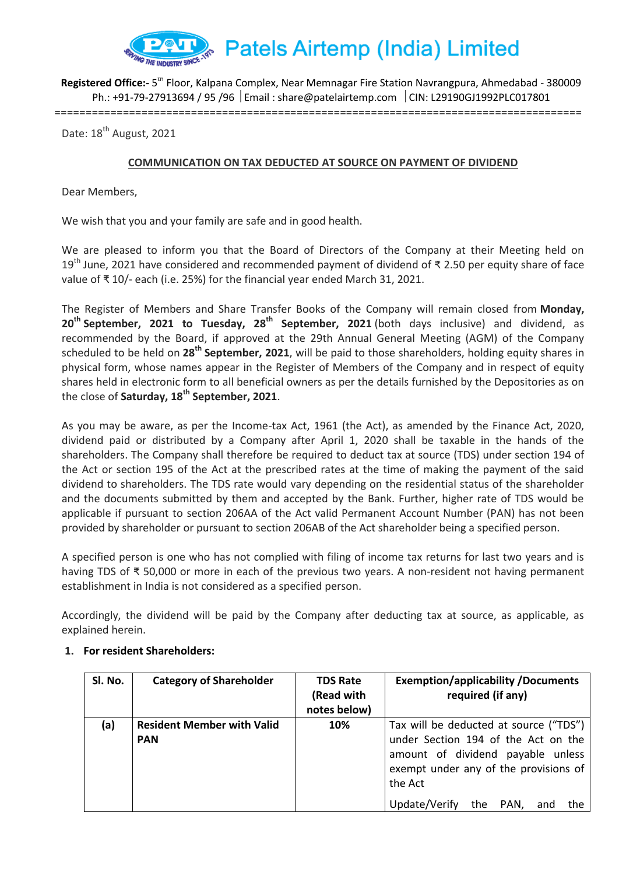

Registered Office:- 5<sup>th</sup> Floor, Kalpana Complex, Near Memnagar Fire Station Navrangpura, Ahmedabad - 380009 Ph.: +91-79-27913694 / 95 /96  $\mid$  Email : share@patelairtemp.com  $\mid$  CIN: L29190GJ1992PLC017801

=====================================================================================

Date: 18<sup>th</sup> August, 2021

#### **COMMUNICATION ON TAX DEDUCTED AT SOURCE ON PAYMENT OF DIVIDEND**

Dear Members,

We wish that you and your family are safe and in good health.

We are pleased to inform you that the Board of Directors of the Company at their Meeting held on 19<sup>th</sup> June, 2021 have considered and recommended payment of dividend of ₹ 2.50 per equity share of face value of ₹ 10/- each (i.e. 25%) for the financial year ended March 31, 2021.

The Register of Members and Share Transfer Books of the Company will remain closed from **Monday, 20th September, 2021 to Tuesday, 28th September, 2021** (both days inclusive) and dividend, as recommended by the Board, if approved at the 29th Annual General Meeting (AGM) of the Company scheduled to be held on **28th September, 2021**, will be paid to those shareholders, holding equity shares in physical form, whose names appear in the Register of Members of the Company and in respect of equity shares held in electronic form to all beneficial owners as per the details furnished by the Depositories as on the close of **Saturday, 18th September, 2021**.

As you may be aware, as per the Income-tax Act, 1961 (the Act), as amended by the Finance Act, 2020, dividend paid or distributed by a Company after April 1, 2020 shall be taxable in the hands of the shareholders. The Company shall therefore be required to deduct tax at source (TDS) under section 194 of the Act or section 195 of the Act at the prescribed rates at the time of making the payment of the said dividend to shareholders. The TDS rate would vary depending on the residential status of the shareholder and the documents submitted by them and accepted by the Bank. Further, higher rate of TDS would be applicable if pursuant to section 206AA of the Act valid Permanent Account Number (PAN) has not been provided by shareholder or pursuant to section 206AB of the Act shareholder being a specified person.

A specified person is one who has not complied with filing of income tax returns for last two years and is having TDS of ₹ 50,000 or more in each of the previous two years. A non-resident not having permanent establishment in India is not considered as a specified person.

Accordingly, the dividend will be paid by the Company after deducting tax at source, as applicable, as explained herein.

| SI. No. | <b>Category of Shareholder</b>                  | <b>TDS Rate</b><br>(Read with<br>notes below) | <b>Exemption/applicability/Documents</b><br>required (if any)                                                                                                                                                        |
|---------|-------------------------------------------------|-----------------------------------------------|----------------------------------------------------------------------------------------------------------------------------------------------------------------------------------------------------------------------|
| (a)     | <b>Resident Member with Valid</b><br><b>PAN</b> | 10%                                           | Tax will be deducted at source ("TDS")<br>under Section 194 of the Act on the<br>amount of dividend payable unless<br>exempt under any of the provisions of<br>the Act<br>Update/Verify<br>the<br>PAN.<br>the<br>and |

#### **1. For resident Shareholders:**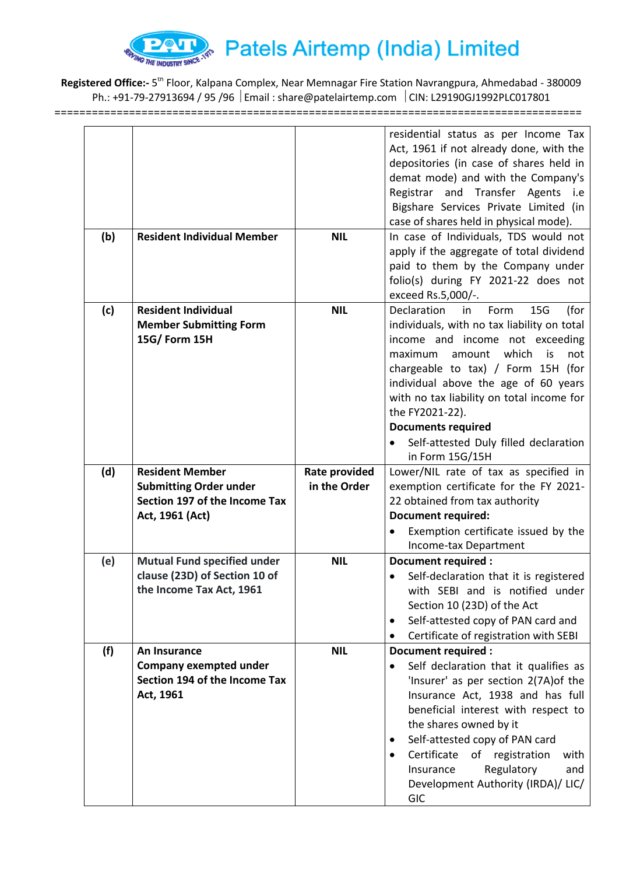

Registered Office:- 5<sup>th</sup> Floor, Kalpana Complex, Near Memnagar Fire Station Navrangpura, Ahmedabad - 380009 Ph.: +91-79-27913694 / 95 /96 | Email : share@patelairtemp.com | CIN: L29190GJ1992PLC017801

=====================================================================================

|     |                                    |                      | residential status as per Income Tax                |
|-----|------------------------------------|----------------------|-----------------------------------------------------|
|     |                                    |                      | Act, 1961 if not already done, with the             |
|     |                                    |                      | depositories (in case of shares held in             |
|     |                                    |                      | demat mode) and with the Company's                  |
|     |                                    |                      | Registrar and Transfer Agents i.e                   |
|     |                                    |                      | Bigshare Services Private Limited (in               |
|     |                                    |                      | case of shares held in physical mode).              |
| (b) | <b>Resident Individual Member</b>  | <b>NIL</b>           | In case of Individuals, TDS would not               |
|     |                                    |                      | apply if the aggregate of total dividend            |
|     |                                    |                      | paid to them by the Company under                   |
|     |                                    |                      | folio(s) during FY 2021-22 does not                 |
|     |                                    |                      | exceed Rs.5,000/-.                                  |
| (c) | <b>Resident Individual</b>         | <b>NIL</b>           | 15G<br>(for<br>Declaration<br>Form<br>in            |
|     | <b>Member Submitting Form</b>      |                      | individuals, with no tax liability on total         |
|     | 15G/ Form 15H                      |                      | income and income not exceeding                     |
|     |                                    |                      | which<br>maximum<br>amount<br>is<br>not             |
|     |                                    |                      | chargeable to tax) / Form 15H (for                  |
|     |                                    |                      | individual above the age of 60 years                |
|     |                                    |                      | with no tax liability on total income for           |
|     |                                    |                      | the FY2021-22).                                     |
|     |                                    |                      | <b>Documents required</b>                           |
|     |                                    |                      | Self-attested Duly filled declaration               |
|     |                                    |                      | in Form 15G/15H                                     |
|     |                                    |                      |                                                     |
| (d) | <b>Resident Member</b>             | <b>Rate provided</b> | Lower/NIL rate of tax as specified in               |
|     | <b>Submitting Order under</b>      | in the Order         | exemption certificate for the FY 2021-              |
|     | Section 197 of the Income Tax      |                      | 22 obtained from tax authority                      |
|     | Act, 1961 (Act)                    |                      | <b>Document required:</b>                           |
|     |                                    |                      | Exemption certificate issued by the                 |
|     |                                    |                      | Income-tax Department                               |
| (e) | <b>Mutual Fund specified under</b> | <b>NIL</b>           | Document required :                                 |
|     | clause (23D) of Section 10 of      |                      | Self-declaration that it is registered              |
|     | the Income Tax Act, 1961           |                      | with SEBI and is notified under                     |
|     |                                    |                      | Section 10 (23D) of the Act                         |
|     |                                    |                      | Self-attested copy of PAN card and<br>$\bullet$     |
|     |                                    |                      | Certificate of registration with SEBI               |
| (f) | An Insurance                       | <b>NIL</b>           | <b>Document required:</b>                           |
|     | Company exempted under             |                      | Self declaration that it qualifies as<br>$\bullet$  |
|     | Section 194 of the Income Tax      |                      | 'Insurer' as per section 2(7A) of the               |
|     | Act, 1961                          |                      | Insurance Act, 1938 and has full                    |
|     |                                    |                      | beneficial interest with respect to                 |
|     |                                    |                      | the shares owned by it                              |
|     |                                    |                      | Self-attested copy of PAN card                      |
|     |                                    |                      | Certificate<br>of registration<br>with<br>$\bullet$ |
|     |                                    |                      | Regulatory<br>Insurance<br>and                      |
|     |                                    |                      | Development Authority (IRDA)/ LIC/                  |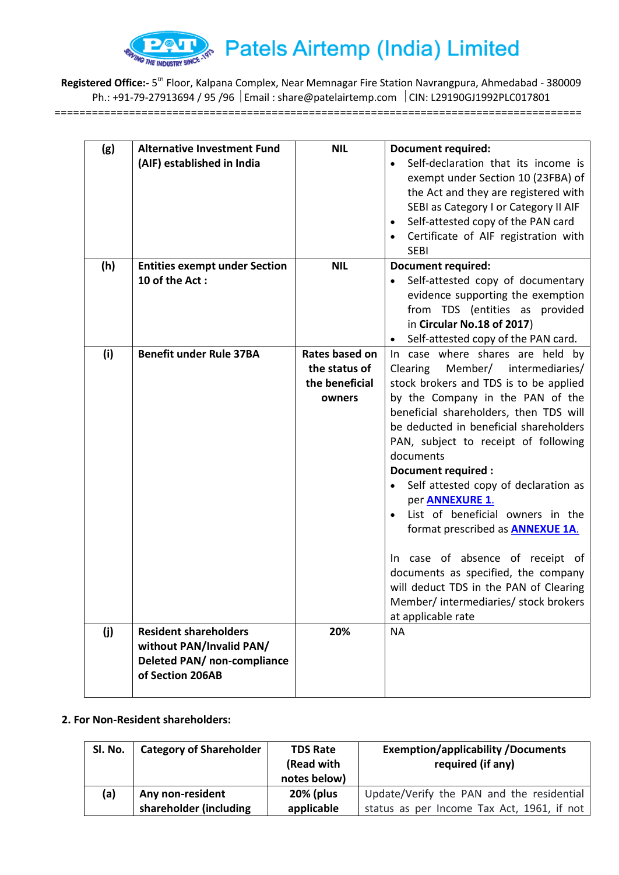

Registered Office:- 5<sup>th</sup> Floor, Kalpana Complex, Near Memnagar Fire Station Navrangpura, Ahmedabad - 380009 Ph.: +91-79-27913694 / 95 /96 | Email : share@patelairtemp.com | CIN: L29190GJ1992PLC017801 =====================================================================================

| (g) | <b>Alternative Investment Fund</b><br>(AIF) established in India                                            | <b>NIL</b>                                                  | <b>Document required:</b><br>Self-declaration that its income is<br>exempt under Section 10 (23FBA) of<br>the Act and they are registered with<br>SEBI as Category I or Category II AIF<br>Self-attested copy of the PAN card<br>$\bullet$<br>Certificate of AIF registration with<br><b>SEBI</b>                                                                                                                                                                                                                                                                                                                                                          |
|-----|-------------------------------------------------------------------------------------------------------------|-------------------------------------------------------------|------------------------------------------------------------------------------------------------------------------------------------------------------------------------------------------------------------------------------------------------------------------------------------------------------------------------------------------------------------------------------------------------------------------------------------------------------------------------------------------------------------------------------------------------------------------------------------------------------------------------------------------------------------|
| (h) | <b>Entities exempt under Section</b><br>10 of the Act:                                                      | <b>NIL</b>                                                  | <b>Document required:</b><br>Self-attested copy of documentary<br>evidence supporting the exemption<br>from TDS (entities as provided<br>in Circular No.18 of 2017)<br>Self-attested copy of the PAN card.                                                                                                                                                                                                                                                                                                                                                                                                                                                 |
| (i) | <b>Benefit under Rule 37BA</b>                                                                              | Rates based on<br>the status of<br>the beneficial<br>owners | In case where shares are held by<br>Member/ intermediaries/<br>Clearing<br>stock brokers and TDS is to be applied<br>by the Company in the PAN of the<br>beneficial shareholders, then TDS will<br>be deducted in beneficial shareholders<br>PAN, subject to receipt of following<br>documents<br>Document required :<br>Self attested copy of declaration as<br>per <b>ANNEXURE 1.</b><br>List of beneficial owners in the<br>format prescribed as <b>ANNEXUE 1A.</b><br>In case of absence of receipt of<br>documents as specified, the company<br>will deduct TDS in the PAN of Clearing<br>Member/ intermediaries/ stock brokers<br>at applicable rate |
| (j) | <b>Resident shareholders</b><br>without PAN/Invalid PAN/<br>Deleted PAN/ non-compliance<br>of Section 206AB | 20%                                                         | <b>NA</b>                                                                                                                                                                                                                                                                                                                                                                                                                                                                                                                                                                                                                                                  |

# **2. For Non-Resident shareholders:**

| SI. No. | <b>Category of Shareholder</b> | <b>TDS Rate</b><br>(Read with<br>notes below) | <b>Exemption/applicability/Documents</b><br>required (if any) |
|---------|--------------------------------|-----------------------------------------------|---------------------------------------------------------------|
| (a)     | Any non-resident               | <b>20% (plus</b>                              | Update/Verify the PAN and the residential                     |
|         | shareholder (including         | applicable                                    | status as per Income Tax Act, 1961, if not                    |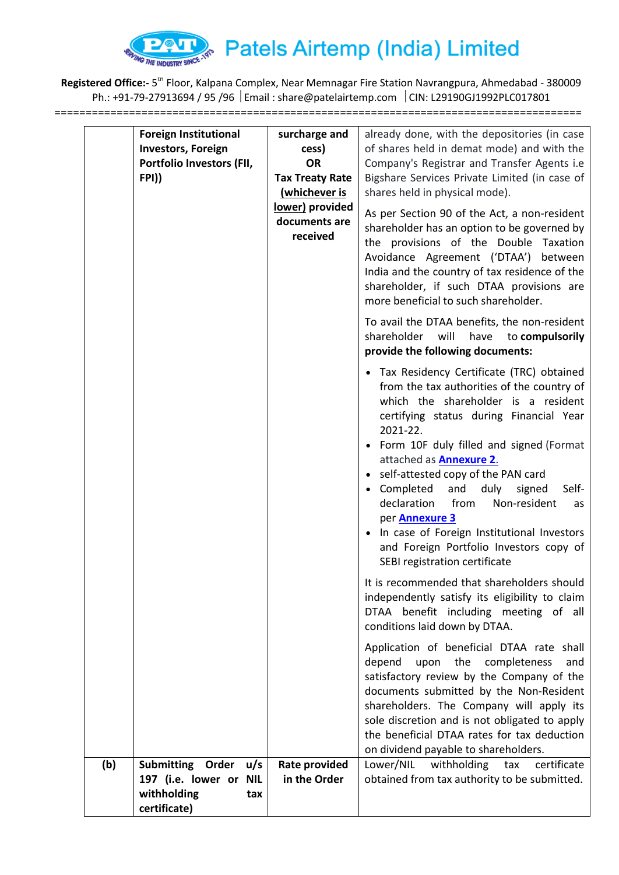

Registered Office:- 5<sup>th</sup> Floor, Kalpana Complex, Near Memnagar Fire Station Navrangpura, Ahmedabad - 380009 Ph.: +91-79-27913694 / 95 /96 | Email : share@patelairtemp.com | CIN: L29190GJ1992PLC017801 =====================================================================================

| <b>Foreign Institutional</b><br><b>Investors, Foreign</b><br>Portfolio Investors (FII,<br>FPI))<br>(b)<br><b>Submitting</b><br>Order<br>u/s | surcharge and<br>cess)<br><b>OR</b><br><b>Tax Treaty Rate</b><br>(whichever is<br>lower) provided<br>documents are<br>received<br>Rate provided | already done, with the depositories (in case<br>of shares held in demat mode) and with the<br>Company's Registrar and Transfer Agents i.e<br>Bigshare Services Private Limited (in case of<br>shares held in physical mode).<br>As per Section 90 of the Act, a non-resident<br>shareholder has an option to be governed by<br>the provisions of the Double Taxation<br>Avoidance Agreement ('DTAA') between<br>India and the country of tax residence of the<br>shareholder, if such DTAA provisions are<br>more beneficial to such shareholder.<br>To avail the DTAA benefits, the non-resident<br>shareholder<br>will<br>have<br>to compulsorily<br>provide the following documents:<br>• Tax Residency Certificate (TRC) obtained<br>from the tax authorities of the country of<br>which the shareholder is a resident<br>certifying status during Financial Year<br>2021-22.<br>• Form 10F duly filled and signed (Format<br>attached as <b>Annexure 2.</b><br>• self-attested copy of the PAN card<br>• Completed<br>and<br>duly<br>signed<br>Self-<br>declaration<br>from<br>Non-resident<br>as<br>per Annexure 3<br>• In case of Foreign Institutional Investors<br>and Foreign Portfolio Investors copy of<br>SEBI registration certificate<br>It is recommended that shareholders should<br>independently satisfy its eligibility to claim<br>DTAA benefit including meeting of all<br>conditions laid down by DTAA.<br>Application of beneficial DTAA rate shall<br>upon the<br>depend<br>completeness<br>and<br>satisfactory review by the Company of the<br>documents submitted by the Non-Resident<br>shareholders. The Company will apply its<br>sole discretion and is not obligated to apply<br>the beneficial DTAA rates for tax deduction<br>on dividend payable to shareholders.<br>Lower/NIL<br>withholding<br>certificate<br>tax |
|---------------------------------------------------------------------------------------------------------------------------------------------|-------------------------------------------------------------------------------------------------------------------------------------------------|--------------------------------------------------------------------------------------------------------------------------------------------------------------------------------------------------------------------------------------------------------------------------------------------------------------------------------------------------------------------------------------------------------------------------------------------------------------------------------------------------------------------------------------------------------------------------------------------------------------------------------------------------------------------------------------------------------------------------------------------------------------------------------------------------------------------------------------------------------------------------------------------------------------------------------------------------------------------------------------------------------------------------------------------------------------------------------------------------------------------------------------------------------------------------------------------------------------------------------------------------------------------------------------------------------------------------------------------------------------------------------------------------------------------------------------------------------------------------------------------------------------------------------------------------------------------------------------------------------------------------------------------------------------------------------------------------------------------------------------------------------------------------------------------------------------------------------------------------------|
| 197 (i.e. lower or NIL<br>withholding<br>tax<br>certificate)                                                                                | in the Order                                                                                                                                    | obtained from tax authority to be submitted.                                                                                                                                                                                                                                                                                                                                                                                                                                                                                                                                                                                                                                                                                                                                                                                                                                                                                                                                                                                                                                                                                                                                                                                                                                                                                                                                                                                                                                                                                                                                                                                                                                                                                                                                                                                                           |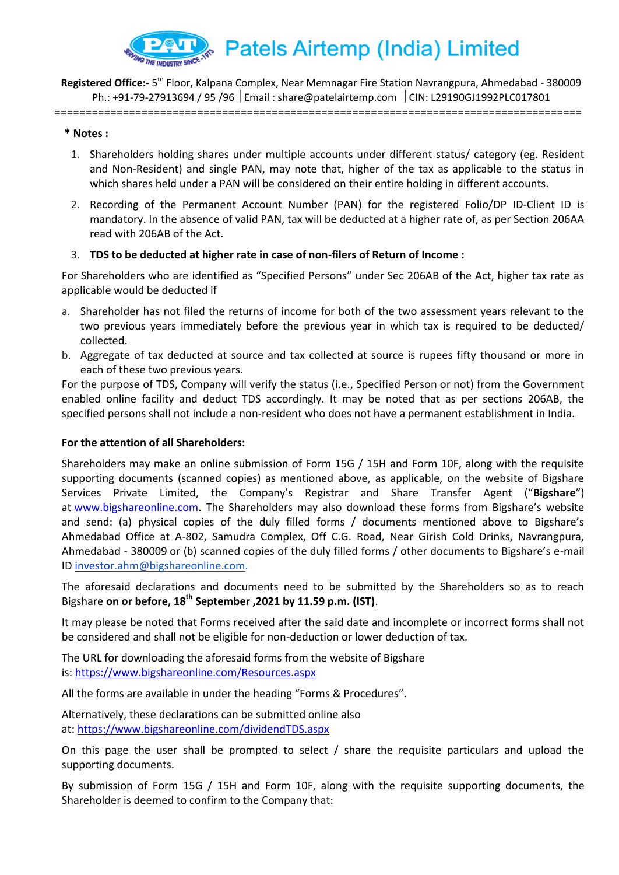

Registered Office:- 5<sup>th</sup> Floor, Kalpana Complex, Near Memnagar Fire Station Navrangpura, Ahmedabad - 380009 Ph.: +91-79-27913694 / 95 /96  $\mid$  Email : share@patelairtemp.com  $\mid$  CIN: L29190GJ1992PLC017801

=====================================================================================

#### **\* Notes :**

- 1. Shareholders holding shares under multiple accounts under different status/ category (eg. Resident and Non-Resident) and single PAN, may note that, higher of the tax as applicable to the status in which shares held under a PAN will be considered on their entire holding in different accounts.
- 2. Recording of the Permanent Account Number (PAN) for the registered Folio/DP ID-Client ID is mandatory. In the absence of valid PAN, tax will be deducted at a higher rate of, as per Section 206AA read with 206AB of the Act.

#### 3. **TDS to be deducted at higher rate in case of non-filers of Return of Income :**

For Shareholders who are identified as "Specified Persons" under Sec 206AB of the Act, higher tax rate as applicable would be deducted if

- a. Shareholder has not filed the returns of income for both of the two assessment years relevant to the two previous years immediately before the previous year in which tax is required to be deducted/ collected.
- b. Aggregate of tax deducted at source and tax collected at source is rupees fifty thousand or more in each of these two previous years.

For the purpose of TDS, Company will verify the status (i.e., Specified Person or not) from the Government enabled online facility and deduct TDS accordingly. It may be noted that as per sections 206AB, the specified persons shall not include a non-resident who does not have a permanent establishment in India.

#### **For the attention of all Shareholders:**

Shareholders may make an online submission of Form 15G / 15H and Form 10F, along with the requisite supporting documents (scanned copies) as mentioned above, as applicable, on the website of Bigshare Services Private Limited, the Company's Registrar and Share Transfer Agent ("**Bigshare**") at [www.bigshareonline.com](http://bigshareonline.transdeliver.com/ltrack?g=1&id=KRgEVQAIUloAAUkBAlFWAVcFCkk=AFAHAAFdV01MXQNCDAJYCkdcCgVYV1BUQBImUglSUFkWAF5U&client=3778&c=0000). The Shareholders may also download these forms from Bigshare's website and send: (a) physical copies of the duly filled forms / documents mentioned above to Bigshare's Ahmedabad Office at A-802, Samudra Complex, Off C.G. Road, Near Girish Cold Drinks, Navrangpura, Ahmedabad - 380009 or (b) scanned copies of the duly filled forms / other documents to Bigshare's e-mail ID [investor.ahm@bigshareonline.com.](mailto:investor@bigshareonline.com)

The aforesaid declarations and documents need to be submitted by the Shareholders so as to reach Bigshare **on or before, 18th September ,2021 by 11.59 p.m. (IST)**.

It may please be noted that Forms received after the said date and incomplete or incorrect forms shall not be considered and shall not be eligible for non-deduction or lower deduction of tax.

The URL for downloading the aforesaid forms from the website of Bigshare is: [https://www.bigshareonline.com/Resources.aspx](http://bigshareonline.transdeliver.com/ltrack?g=1&id=KRgEVQAIUloAAEkBAlFWAVcFCkk=AFAHAAFdV01MXQNCDAJYCkdcCgVYV1BUQBImUglSUFkWAF5U&client=3778&c=0000)

All the forms are available in under the heading "Forms & Procedures".

Alternatively, these declarations can be submitted online also at: [https://www.bigshareonline.com/dividendTDS.aspx](http://bigshareonline.transdeliver.com/ltrack?g=1&id=KRgEVQAIUloDCUkBAlFWAVcFCkk=AFAHAAFdV01MXQNCDAJYCkdcCgVYV1BUQBImUglSUFkWAF5U&client=3778&c=0000)

On this page the user shall be prompted to select / share the requisite particulars and upload the supporting documents.

By submission of Form 15G / 15H and Form 10F, along with the requisite supporting documents, the Shareholder is deemed to confirm to the Company that: